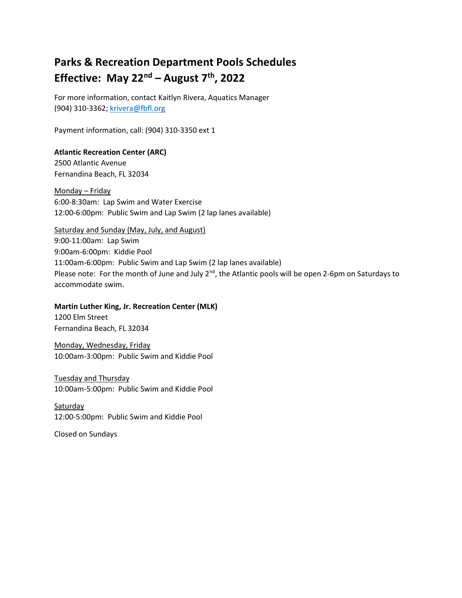# Parks & Recreation Department Pools Schedules Effective: May  $22^{nd}$  – August  $7^{th}$ , 2022

For more information, contact Kaitlyn Rivera, Aquatics Manager (904) 310-3362; krivera@fbfl.org

Payment information, call: (904) 310-3350 ext 1

## Atlantic Recreation Center (ARC)

2500 Atlantic Avenue Fernandina Beach, FL 32034

Monday – Friday 6:00-8:30am: Lap Swim and Water Exercise 12:00-6:00pm: Public Swim and Lap Swim (2 lap lanes available)

Saturday and Sunday (May, July, and August) 9:00-11:00am: Lap Swim 9:00am-6:00pm: Kiddie Pool 11:00am-6:00pm: Public Swim and Lap Swim (2 lap lanes available) Please note: For the month of June and July  $2^{nd}$ , the Atlantic pools will be open 2-6pm on Saturdays to accommodate swim.

#### Martin Luther King, Jr. Recreation Center (MLK)

1200 Elm Street Fernandina Beach, FL 32034

Monday, Wednesday, Friday 10:00am-3:00pm: Public Swim and Kiddie Pool

## Tuesday and Thursday 10:00am-5:00pm: Public Swim and Kiddie Pool

**Saturday** 12:00-5:00pm: Public Swim and Kiddie Pool

Closed on Sundays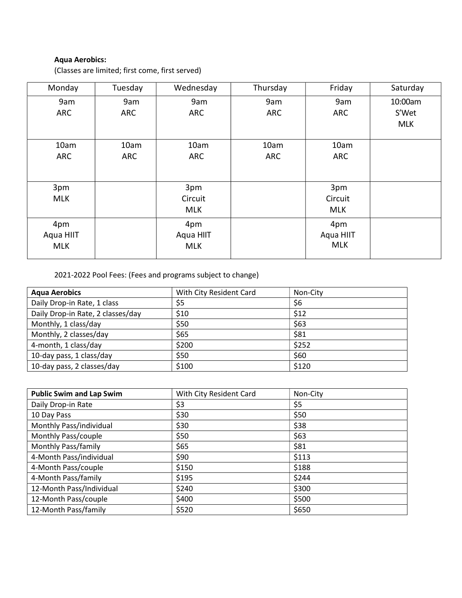# Aqua Aerobics:

(Classes are limited; first come, first served)

| Monday     | Tuesday | Wednesday  | Thursday   | Friday     | Saturday   |
|------------|---------|------------|------------|------------|------------|
| 9am        | 9am     | 9am        | 9am        | 9am        | 10:00am    |
| <b>ARC</b> | ARC     | ARC        | <b>ARC</b> | ARC        | S'Wet      |
|            |         |            |            |            | <b>MLK</b> |
|            |         |            |            |            |            |
| 10am       | 10am    | 10am       | 10am       | 10am       |            |
| <b>ARC</b> | ARC     | <b>ARC</b> | <b>ARC</b> | ARC        |            |
|            |         |            |            |            |            |
|            |         |            |            |            |            |
| 3pm        |         | 3pm        |            | 3pm        |            |
| <b>MLK</b> |         | Circuit    |            | Circuit    |            |
|            |         | <b>MLK</b> |            | <b>MLK</b> |            |
| 4pm        |         | 4pm        |            | 4pm        |            |
| Aqua HIIT  |         | Aqua HIIT  |            | Aqua HIIT  |            |
| <b>MLK</b> |         | <b>MLK</b> |            | <b>MLK</b> |            |
|            |         |            |            |            |            |

2021-2022 Pool Fees: (Fees and programs subject to change)

| <b>Agua Aerobics</b>              | With City Resident Card | Non-City |
|-----------------------------------|-------------------------|----------|
| Daily Drop-in Rate, 1 class       | \$5                     | \$6      |
| Daily Drop-in Rate, 2 classes/day | \$10                    | \$12     |
| Monthly, 1 class/day              | \$50                    | \$63     |
| Monthly, 2 classes/day            | \$65                    | \$81     |
| 4-month, 1 class/day              | \$200                   | \$252    |
| 10-day pass, 1 class/day          | \$50                    | \$60     |
| 10-day pass, 2 classes/day        | \$100                   | \$120    |

| <b>Public Swim and Lap Swim</b> | With City Resident Card | Non-City |
|---------------------------------|-------------------------|----------|
| Daily Drop-in Rate              | \$3                     | \$5      |
| 10 Day Pass                     | \$30                    | \$50     |
| Monthly Pass/individual         | \$30                    | \$38     |
| Monthly Pass/couple             | \$50                    | \$63     |
| Monthly Pass/family             | \$65                    | \$81     |
| 4-Month Pass/individual         | \$90                    | \$113    |
| 4-Month Pass/couple             | \$150                   | \$188    |
| 4-Month Pass/family             | \$195                   | \$244    |
| 12-Month Pass/Individual        | \$240                   | \$300    |
| 12-Month Pass/couple            | \$400                   | \$500    |
| 12-Month Pass/family            | \$520                   | \$650    |